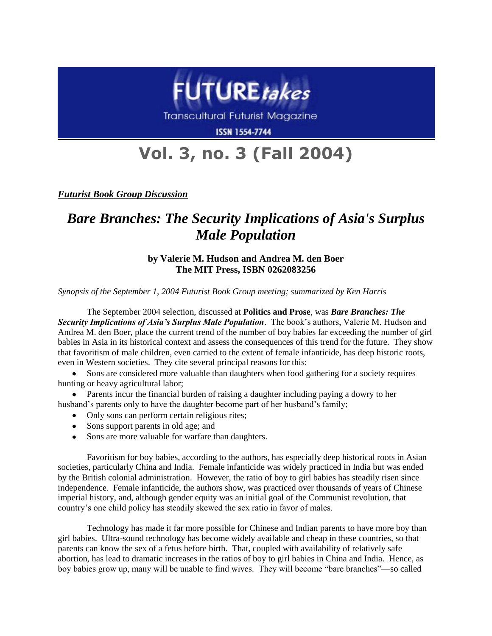

Transcultural Futurist Magazine

**ISSN 1554-7744** 

## **Vol. 3, no. 3 (Fall 2004)**

*Futurist Book Group Discussion*

## *Bare Branches: The Security Implications of Asia's Surplus Male Population*

## **by Valerie M. Hudson and Andrea M. den Boer The MIT Press, ISBN 0262083256**

*Synopsis of the September 1, 2004 Futurist Book Group meeting; summarized by Ken Harris*

The September 2004 selection, discussed at **Politics and Prose**, was *Bare Branches: The Security Implications of Asia's Surplus Male Population*. The book's authors, Valerie M. Hudson and Andrea M. den Boer, place the current trend of the number of boy babies far exceeding the number of girl babies in Asia in its historical context and assess the consequences of this trend for the future. They show that favoritism of male children, even carried to the extent of female infanticide, has deep historic roots, even in Western societies. They cite several principal reasons for this:

Sons are considered more valuable than daughters when food gathering for a society requires hunting or heavy agricultural labor;

Parents incur the financial burden of raising a daughter including paying a dowry to her husband's parents only to have the daughter become part of her husband's family;

- Only sons can perform certain religious rites;
- Sons support parents in old age; and
- Sons are more valuable for warfare than daughters.

Favoritism for boy babies, according to the authors, has especially deep historical roots in Asian societies, particularly China and India. Female infanticide was widely practiced in India but was ended by the British colonial administration. However, the ratio of boy to girl babies has steadily risen since independence. Female infanticide, the authors show, was practiced over thousands of years of Chinese imperial history, and, although gender equity was an initial goal of the Communist revolution, that country's one child policy has steadily skewed the sex ratio in favor of males.

Technology has made it far more possible for Chinese and Indian parents to have more boy than girl babies. Ultra-sound technology has become widely available and cheap in these countries, so that parents can know the sex of a fetus before birth. That, coupled with availability of relatively safe abortion, has lead to dramatic increases in the ratios of boy to girl babies in China and India. Hence, as boy babies grow up, many will be unable to find wives. They will become "bare branches"—so called